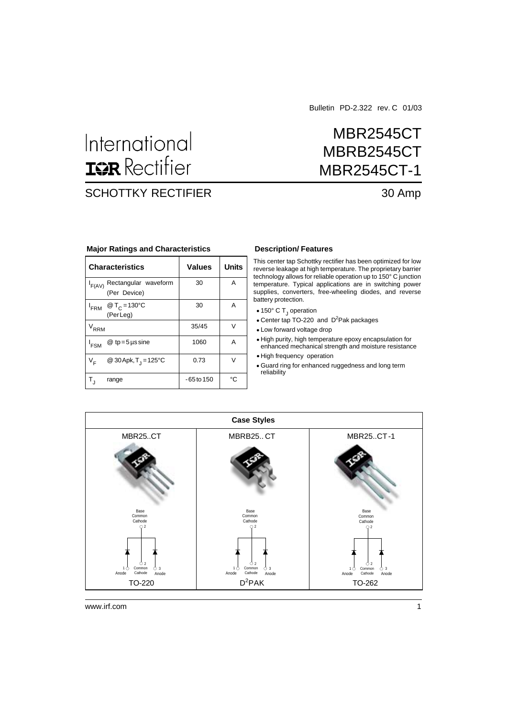Bulletin PD-2.322 rev. C 01/03

MBR2545CT

MBRB2545CT

# International **ISR** Rectifier

## SCHOTTKY RECTIFIER 30 Amp

# MBR2545CT-1

| <b>Major Ratings and Characteristics</b> |  |  |  |
|------------------------------------------|--|--|--|
|------------------------------------------|--|--|--|

| <b>Characteristics</b>                               | <b>Values</b> | <b>Units</b> |
|------------------------------------------------------|---------------|--------------|
| Rectangular waveform<br>$I_{F(AV)}$<br>(Per Device)  | 30            | A            |
| @ T <sub>C</sub> = 130 °C<br><b>FRM</b><br>(Per Leg) | 30            | Α            |
| RRM                                                  | 35/45         | V            |
| $@tp=5$ µssine<br><sup>I</sup> FSM                   | 1060          | Α            |
| @ 30 Apk, $T_{\rm d} = 125^{\circ}$ C<br>$V_F$       | 0.73          | V            |
| range                                                | -65 to 150    | °C           |

#### **Description/ Features**

This center tap Schottky rectifier has been optimized for low reverse leakage at high temperature. The proprietary barrier technology allows for reliable operation up to 150° C junction temperature. Typical applications are in switching power supplies, converters, free-wheeling diodes, and reverse battery protection.

- 150° C T<sub>J</sub> operation
- Center tap TO-220 and  $D^2$ Pak packages
- Low forward voltage drop
- High purity, high temperature epoxy encapsulation for enhanced mechanical strength and moisture resistance
- High frequency operation
- Guard ring for enhanced ruggedness and long term reliability

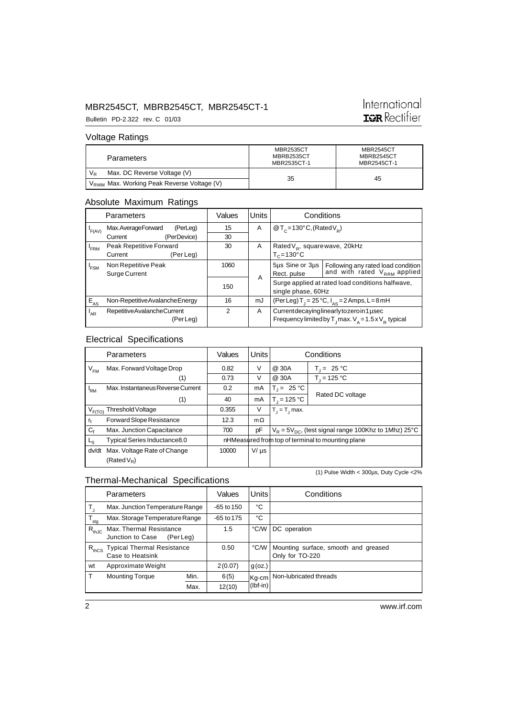# International **IGR** Rectifier

Bulletin PD-2.322 rev. C 01/03

#### Voltage Ratings

| <b>Parameters</b>                                      | <b>MBR2535CT</b><br>MBRB2535CT<br>MBR2535CT-1 | MBR2545CT<br>MBRB2545CT<br>MBR2545CT-1 |  |
|--------------------------------------------------------|-----------------------------------------------|----------------------------------------|--|
| Max. DC Reverse Voltage (V)<br>$V_{R}$                 |                                               |                                        |  |
| V <sub>RWM</sub> Max. Working Peak Reverse Voltage (V) | 35                                            | 45                                     |  |

#### Absolute Maximum Ratings

|             | Parameters                      | Values         | <b>Units</b> |                                                                        | Conditions                                                             |
|-------------|---------------------------------|----------------|--------------|------------------------------------------------------------------------|------------------------------------------------------------------------|
| $I_{F(AV)}$ | Max.AverageForward<br>(PerLeg)  | 15             | A            | $\mathcal{Q}$ T <sub>c</sub> =130°C, (Rated V <sub>p</sub> )           |                                                                        |
|             | (PerDevice)<br>Current          | 30             |              |                                                                        |                                                                        |
| $I_{FRM}$   | Peak Repetitive Forward         | 30             | A            | Rated $V_p$ , square wave, 20kHz                                       |                                                                        |
|             | (Per Leg)<br>Current            |                |              | $T_c = 130^{\circ}$ C                                                  |                                                                        |
| $I_{FSM}$   | Non Repetitive Peak             | 1060           |              | 5µs Sine or 3µs                                                        | Following any rated load condition<br>and with rated $V_{RRM}$ applied |
|             | <b>Surge Current</b>            |                | A            | Rect. pulse                                                            |                                                                        |
|             |                                 | 150            |              | Surge applied at rated load conditions halfwave,<br>single phase, 60Hz |                                                                        |
|             |                                 |                |              |                                                                        |                                                                        |
| $E_{AS}$    | Non-Repetitive Avalanche Energy | 16             | mJ           | (Per Leg) T <sub>1</sub> = 25 °C, $I_{AS}$ = 2 Amps, L = 8 mH          |                                                                        |
| $I_{AR}$    | Repetitive Avalanche Current    | $\mathfrak{p}$ | A            | Current decaying linearly to zero in 1 used                            |                                                                        |
|             | (PerLeg)                        |                |              | Frequency limited by $T_1$ max. $V_A = 1.5 \times V_B$ typical         |                                                                        |

#### Electrical Specifications

Thermal-Mechanical Specifications

|             | Parameters                        | Values | Units     | Conditions                                                |                  |
|-------------|-----------------------------------|--------|-----------|-----------------------------------------------------------|------------------|
| $V_{FM}$    | Max. Forward Voltage Drop         | 0.82   | V         | @ 30A                                                     | $T_1 = 25 °C$    |
|             | (1)                               | 0.73   | V         | @ 30A                                                     | $T_{1} = 125 °C$ |
| 'RM         | Max. Instantaneus Reverse Current | 0.2    | mA        | $T_1 = 25 °C$                                             |                  |
|             | (1)                               | 40     | mA        | $T_1 = 125 °C$                                            | Rated DC voltage |
| $V_{F(TO)}$ | Threshold Voltage                 | 0.355  | V         | $T_i = T_i$ max.                                          |                  |
| $r_{t}$     | Forward Slope Resistance          | 12.3   | $m\Omega$ |                                                           |                  |
| $C_{\tau}$  | Max. Junction Capacitance         | 700    | pF        | $V_R = 5V_{DC}$ , (test signal range 100Khz to 1Mhz) 25°C |                  |
| Ls          | Typical Series Inductance8.0      |        |           | nHMeasured from top of terminal to mounting plane         |                  |
| dv/dt       | Max. Voltage Rate of Change       | 10000  | $V/\mu s$ |                                                           |                  |
|             | $(Rated V_R)$                     |        |           |                                                           |                  |

(1) Pulse Width < 300µs, Duty Cycle <2%

#### $T_J$  Max. Junction Temperature Range -65 to 150 °C<br>  $T_{\text{max}}$  Max. Storage Temperature Range -65 to 175 °C  $T_{\text{stg}}$  Max. Storage Temperature Range -65 to 175 °C<br>  $R_{\text{th,IC}}$  Max. Thermal Resistance 1.5 °C/W DC operation  $R_{thJC}$  Max. Thermal Resistance 1.5 Junction to Case (Per Leg)  $R_{\text{thCS}}$  Typical Thermal Resistance  $R_{\text{thCS}}$  and greased  $\overline{O}$  CMV Mounting surface, smooth and greased  $\overline{O}$ wt Approximate Weight  $2(0.07)$  g (oz.) T Mounting Torque Min. 6(5) Kq-cm Non-lubricated threads Max. 12(10) Parameters | Values Units | Conditions Kg-cm (Ibf-in)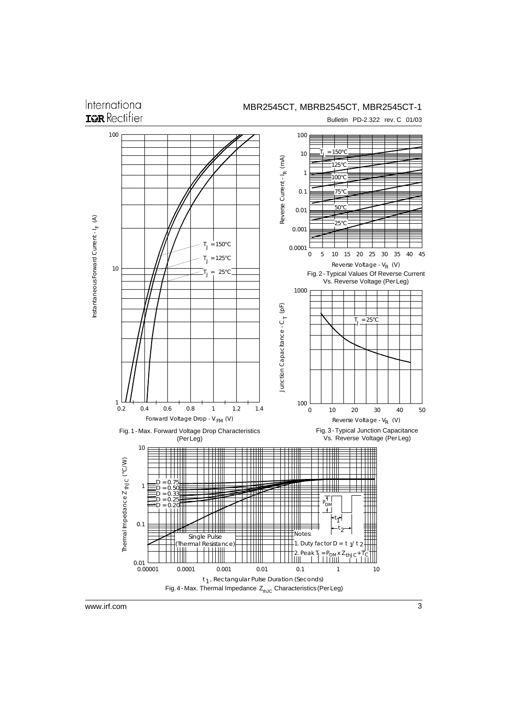International **IGR** Rectifier

Bulletin PD-2.322 rev. C 01/03

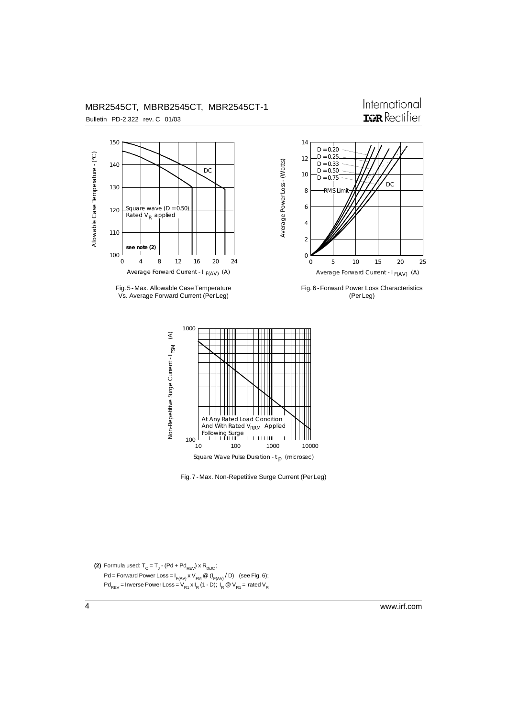

Fig. 5 - Max. Allowable Case Temperature Vs. Average Forward Current (Per Leg)



International

Fig. 6 - Forward Power Loss Characteristics (Per Leg)



Fig. 7 - Max. Non-Repetitive Surge Current (Per Leg)

**(2)** Formula used:  $T_c = T_J$  - (Pd + Pd<sub>REV</sub>) x R<sub>thJC</sub>;  $Pd = F$ orward Power Loss = I<sub>F(AV)</sub> x V<sub>FM</sub> @ (I<sub>F(AV)</sub> / D) (see Fig. 6);  $Pd_{REV}$  = Inverse Power Loss =  $V_{R1}$  x I<sub>R</sub> (1 - D); I<sub>R</sub> @  $V_{R1}$  = rated  $V_{R1}$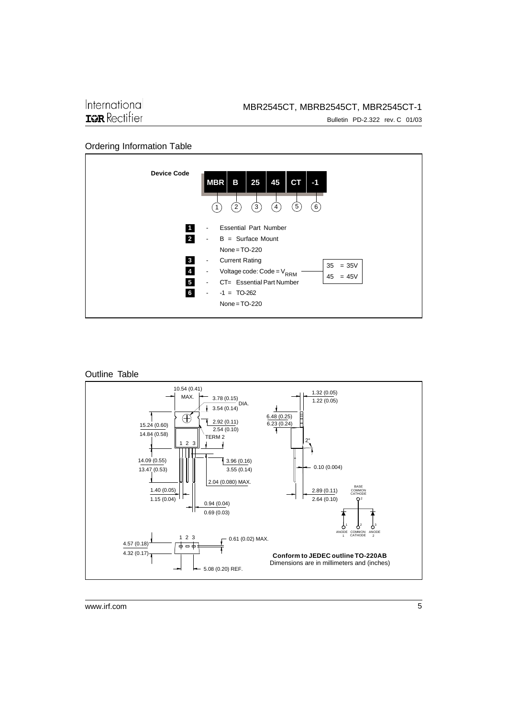Bulletin PD-2.322 rev. C 01/03

#### Ordering Information Table





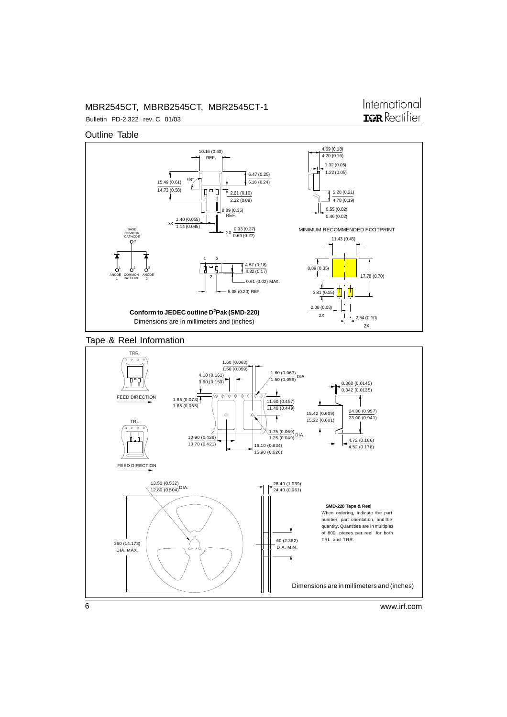### International **IGR** Rectifier

Outline Table

Bulletin PD-2.322 rev. C 01/03